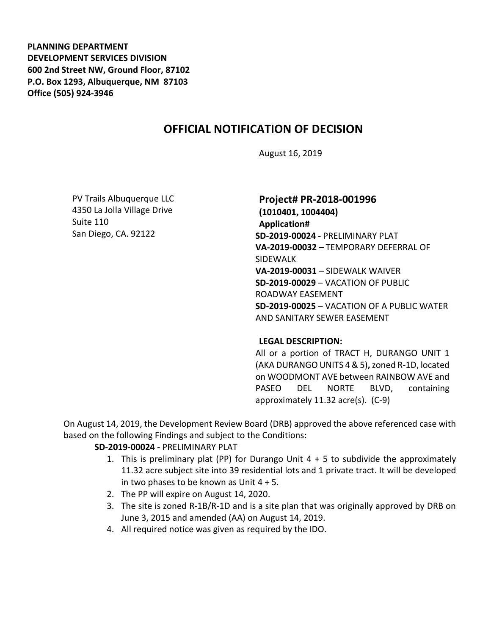**PLANNING DEPARTMENT DEVELOPMENT SERVICES DIVISION 600 2nd Street NW, Ground Floor, 87102 P.O. Box 1293, Albuquerque, NM 87103 Office (505) 924-3946** 

# **OFFICIAL NOTIFICATION OF DECISION**

August 16, 2019

PV Trails Albuquerque LLC 4350 La Jolla Village Drive Suite 110 San Diego, CA. 92122

# **Project# PR-2018-001996**

**(1010401, 1004404) Application# SD-2019-00024 -** PRELIMINARY PLAT **VA-2019-00032 –** TEMPORARY DEFERRAL OF SIDEWALK **VA-2019-00031** – SIDEWALK WAIVER **SD-2019-00029** – VACATION OF PUBLIC ROADWAY EASEMENT **SD-2019-00025** – VACATION OF A PUBLIC WATER AND SANITARY SEWER EASEMENT

### **LEGAL DESCRIPTION:**

All or a portion of TRACT H, DURANGO UNIT 1 (AKA DURANGO UNITS 4 & 5)**,** zoned R-1D, located on WOODMONT AVE between RAINBOW AVE and PASEO DEL NORTE BLVD, containing approximately 11.32 acre(s). (C-9)

On August 14, 2019, the Development Review Board (DRB) approved the above referenced case with based on the following Findings and subject to the Conditions:

### **SD-2019-00024 -** PRELIMINARY PLAT

- 1. This is preliminary plat (PP) for Durango Unit  $4 + 5$  to subdivide the approximately 11.32 acre subject site into 39 residential lots and 1 private tract. It will be developed in two phases to be known as Unit  $4 + 5$ .
- 2. The PP will expire on August 14, 2020.
- 3. The site is zoned R-1B/R-1D and is a site plan that was originally approved by DRB on June 3, 2015 and amended (AA) on August 14, 2019.
- 4. All required notice was given as required by the IDO.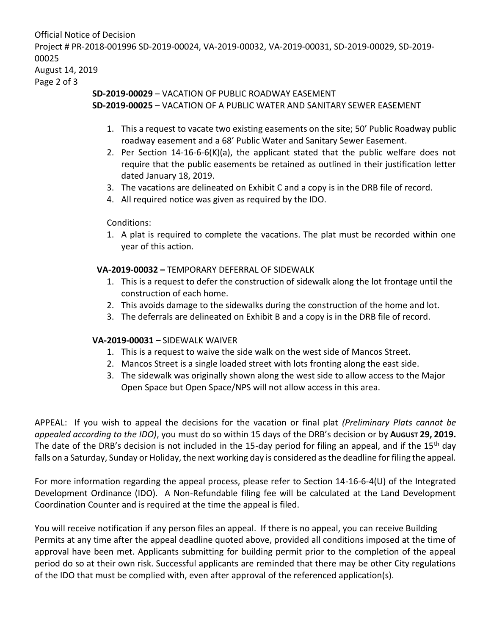Official Notice of Decision Project # PR-2018-001996 SD-2019-00024, VA-2019-00032, VA-2019-00031, SD-2019-00029, SD-2019- 00025 August 14, 2019 Page 2 of 3

#### **SD-2019-00029** – VACATION OF PUBLIC ROADWAY EASEMENT **SD-2019-00025** – VACATION OF A PUBLIC WATER AND SANITARY SEWER EASEMENT

- 1. This a request to vacate two existing easements on the site; 50' Public Roadway public roadway easement and a 68' Public Water and Sanitary Sewer Easement.
- 2. Per Section 14-16-6-6(K)(a), the applicant stated that the public welfare does not require that the public easements be retained as outlined in their justification letter dated January 18, 2019.
- 3. The vacations are delineated on Exhibit C and a copy is in the DRB file of record.
- 4. All required notice was given as required by the IDO.

## Conditions:

1. A plat is required to complete the vacations. The plat must be recorded within one year of this action.

## **VA-2019-00032 –** TEMPORARY DEFERRAL OF SIDEWALK

- 1. This is a request to defer the construction of sidewalk along the lot frontage until the construction of each home.
- 2. This avoids damage to the sidewalks during the construction of the home and lot.
- 3. The deferrals are delineated on Exhibit B and a copy is in the DRB file of record.

## **VA-2019-00031 –** SIDEWALK WAIVER

- 1. This is a request to waive the side walk on the west side of Mancos Street.
- 2. Mancos Street is a single loaded street with lots fronting along the east side.
- 3. The sidewalk was originally shown along the west side to allow access to the Major Open Space but Open Space/NPS will not allow access in this area.

APPEAL: If you wish to appeal the decisions for the vacation or final plat *(Preliminary Plats cannot be appealed according to the IDO)*, you must do so within 15 days of the DRB's decision or by **AUGUST 29, 2019.**  The date of the DRB's decision is not included in the 15-day period for filing an appeal, and if the 15<sup>th</sup> day falls on a Saturday, Sunday or Holiday, the next working day is considered as the deadline for filing the appeal.

For more information regarding the appeal process, please refer to Section 14-16-6-4(U) of the Integrated Development Ordinance (IDO). A Non-Refundable filing fee will be calculated at the Land Development Coordination Counter and is required at the time the appeal is filed.

You will receive notification if any person files an appeal. If there is no appeal, you can receive Building Permits at any time after the appeal deadline quoted above, provided all conditions imposed at the time of approval have been met. Applicants submitting for building permit prior to the completion of the appeal period do so at their own risk. Successful applicants are reminded that there may be other City regulations of the IDO that must be complied with, even after approval of the referenced application(s).